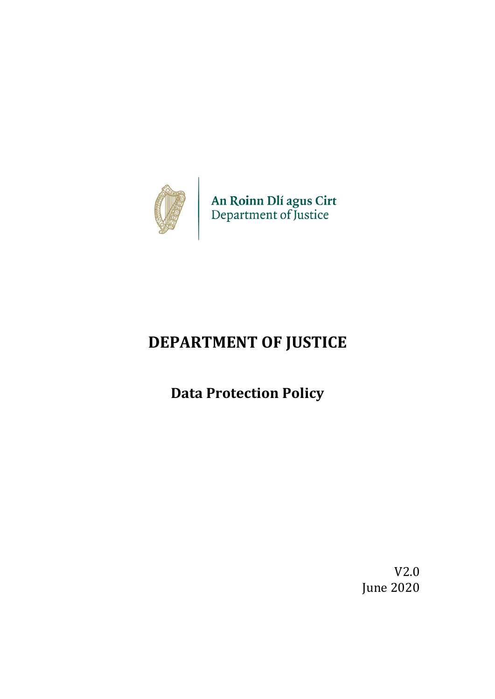

An Roinn Dlí agus Cirt<br>Department of Justice

# **DEPARTMENT OF JUSTICE**

**Data Protection Policy**

V2.0 June 2020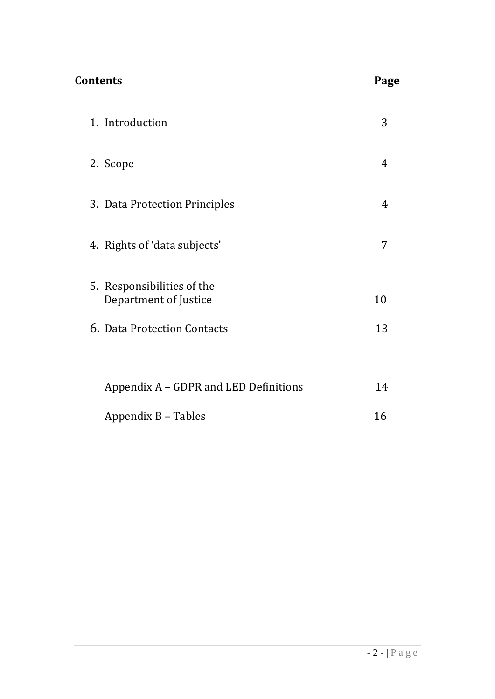| <b>Contents</b>                                     | Page |
|-----------------------------------------------------|------|
| 1. Introduction                                     | 3    |
| 2. Scope                                            | 4    |
| 3. Data Protection Principles                       | 4    |
| 4. Rights of 'data subjects'                        | 7    |
| 5. Responsibilities of the<br>Department of Justice | 10   |
| 6. Data Protection Contacts                         | 13   |
| Appendix A – GDPR and LED Definitions               | 14   |
| Appendix B - Tables                                 | 16   |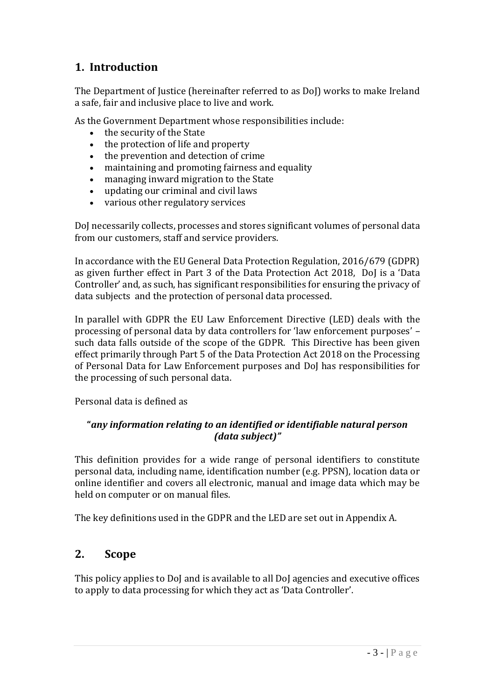## **1. Introduction**

The Department of Justice (hereinafter referred to as DoJ) works to make Ireland a safe, fair and inclusive place to live and work.

As the Government Department whose responsibilities include:

- the security of the State
- the protection of life and property
- the prevention and detection of crime
- maintaining and promoting fairness and equality
- managing inward migration to the State
- updating our criminal and civil laws
- various other regulatory services

DoJ necessarily collects, processes and stores significant volumes of personal data from our customers, staff and service providers.

In accordance with the EU General Data Protection Regulation, 2016/679 (GDPR) as given further effect in Part 3 of the Data Protection Act 2018, DoJ is a 'Data Controller' and, as such, has significant responsibilities for ensuring the privacy of data subjects and the protection of personal data processed.

In parallel with GDPR the EU Law Enforcement Directive (LED) deals with the processing of personal data by data controllers for 'law enforcement purposes' – such data falls outside of the scope of the GDPR. This Directive has been given effect primarily through Part 5 of the Data Protection Act 2018 on the Processing of Personal Data for Law Enforcement purposes and DoJ has responsibilities for the processing of such personal data.

Personal data is defined as

## **"***any information relating to an identified or identifiable natural person (data subject)"*

This definition provides for a wide range of personal identifiers to constitute personal data, including name, identification number (e.g. PPSN), location data or online identifier and covers all electronic, manual and image data which may be held on computer or on manual files.

The key definitions used in the GDPR and the LED are set out in Appendix A.

## **2. Scope**

This policy applies to DoJ and is available to all DoJ agencies and executive offices to apply to data processing for which they act as 'Data Controller'.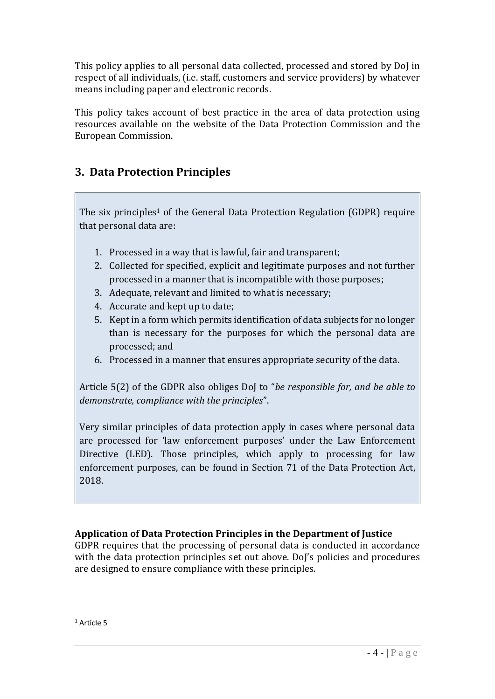This policy applies to all personal data collected, processed and stored by DoJ in respect of all individuals, (i.e. staff, customers and service providers) by whatever means including paper and electronic records.

This policy takes account of best practice in the area of data protection using resources available on the website of the Data Protection Commission and the European Commission.

## **3. Data Protection Principles**

The six principles<sup>1</sup> of the General Data Protection Regulation (GDPR) require that personal data are:

- 1. Processed in a way that is lawful, fair and transparent;
- 2. Collected for specified, explicit and legitimate purposes and not further processed in a manner that is incompatible with those purposes;
- 3. Adequate, relevant and limited to what is necessary;
- 4. Accurate and kept up to date;
- 5. Kept in a form which permits identification of data subjects for no longer than is necessary for the purposes for which the personal data are processed; and
- 6. Processed in a manner that ensures appropriate security of the data.

Article 5(2) of the GDPR also obliges DoJ to "*be responsible for, and be able to demonstrate, compliance with the principles*".

Very similar principles of data protection apply in cases where personal data are processed for 'law enforcement purposes' under the Law Enforcement Directive (LED). Those principles, which apply to processing for law enforcement purposes, can be found in Section 71 of the Data Protection Act, 2018.

## **Application of Data Protection Principles in the Department of Justice**

GDPR requires that the processing of personal data is conducted in accordance with the data protection principles set out above. DoJ's policies and procedures are designed to ensure compliance with these principles.

1

<sup>1</sup> Article 5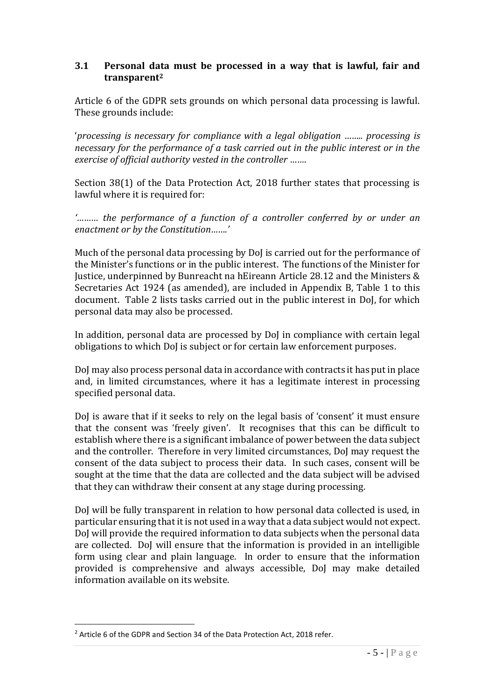#### **3.1 Personal data must be processed in a way that is lawful, fair and transparent<sup>2</sup>**

Article 6 of the GDPR sets grounds on which personal data processing is lawful. These grounds include:

'*processing is necessary for compliance with a legal obligation …….. processing is necessary for the performance of a task carried out in the public interest or in the exercise of official authority vested in the controller ……*.

Section 38(1) of the Data Protection Act, 2018 further states that processing is lawful where it is required for:

*'……… the performance of a function of a controller conferred by or under an enactment or by the Constitution…….'*

Much of the personal data processing by DoJ is carried out for the performance of the Minister's functions or in the public interest. The functions of the Minister for Justice, underpinned by Bunreacht na hEireann Article 28.12 and the Ministers & Secretaries Act 1924 (as amended), are included in Appendix B, Table 1 to this document. Table 2 lists tasks carried out in the public interest in DoJ, for which personal data may also be processed.

In addition, personal data are processed by DoJ in compliance with certain legal obligations to which DoJ is subject or for certain law enforcement purposes.

DoJ may also process personal data in accordance with contracts it has put in place and, in limited circumstances, where it has a legitimate interest in processing specified personal data.

DoJ is aware that if it seeks to rely on the legal basis of 'consent' it must ensure that the consent was 'freely given'. It recognises that this can be difficult to establish where there is a significant imbalance of power between the data subject and the controller. Therefore in very limited circumstances, DoJ may request the consent of the data subject to process their data. In such cases, consent will be sought at the time that the data are collected and the data subject will be advised that they can withdraw their consent at any stage during processing.

DoJ will be fully transparent in relation to how personal data collected is used, in particular ensuring that it is not used in a way that a data subject would not expect. DoJ will provide the required information to data subjects when the personal data are collected. DoJ will ensure that the information is provided in an intelligible form using clear and plain language. In order to ensure that the information provided is comprehensive and always accessible, DoJ may make detailed information available on its website.

<u>.</u>

<sup>&</sup>lt;sup>2</sup> Article 6 of the GDPR and Section 34 of the Data Protection Act, 2018 refer.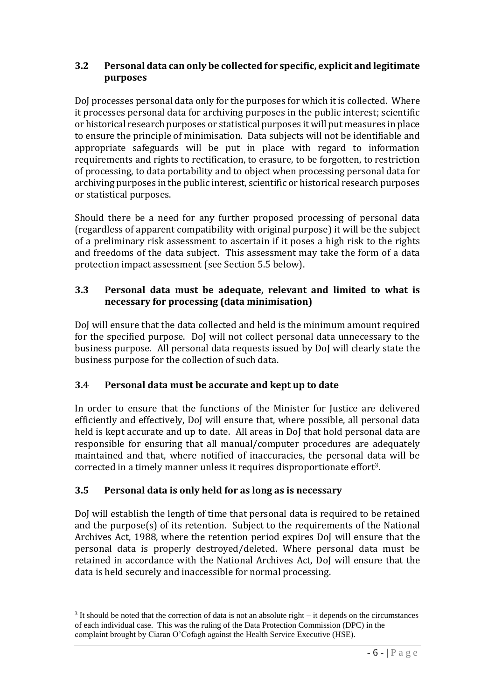## **3.2 Personal data can only be collected for specific, explicit and legitimate purposes**

DoJ processes personal data only for the purposes for which it is collected. Where it processes personal data for archiving purposes in the public interest; scientific or historical research purposes or statistical purposes it will put measures in place to ensure the principle of minimisation. Data subjects will not be identifiable and appropriate safeguards will be put in place with regard to information requirements and rights to rectification, to erasure, to be forgotten, to restriction of processing, to data portability and to object when processing personal data for archiving purposes in the public interest, scientific or historical research purposes or statistical purposes.

Should there be a need for any further proposed processing of personal data (regardless of apparent compatibility with original purpose) it will be the subject of a preliminary risk assessment to ascertain if it poses a high risk to the rights and freedoms of the data subject. This assessment may take the form of a data protection impact assessment (see Section 5.5 below).

## **3.3 Personal data must be adequate, relevant and limited to what is necessary for processing (data minimisation)**

DoJ will ensure that the data collected and held is the minimum amount required for the specified purpose. DoJ will not collect personal data unnecessary to the business purpose. All personal data requests issued by DoJ will clearly state the business purpose for the collection of such data.

## **3.4 Personal data must be accurate and kept up to date**

In order to ensure that the functions of the Minister for Justice are delivered efficiently and effectively, DoJ will ensure that, where possible, all personal data held is kept accurate and up to date. All areas in DoJ that hold personal data are responsible for ensuring that all manual/computer procedures are adequately maintained and that, where notified of inaccuracies, the personal data will be corrected in a timely manner unless it requires disproportionate effort3.

## **3.5 Personal data is only held for as long as is necessary**

1

DoJ will establish the length of time that personal data is required to be retained and the purpose(s) of its retention. Subject to the requirements of the National Archives Act, 1988, where the retention period expires DoJ will ensure that the personal data is properly destroyed/deleted. Where personal data must be retained in accordance with the National Archives Act, DoJ will ensure that the data is held securely and inaccessible for normal processing.

 $3$  It should be noted that the correction of data is not an absolute right – it depends on the circumstances of each individual case. This was the ruling of the Data Protection Commission (DPC) in the complaint brought by Ciaran O'Cofagh against the Health Service Executive (HSE).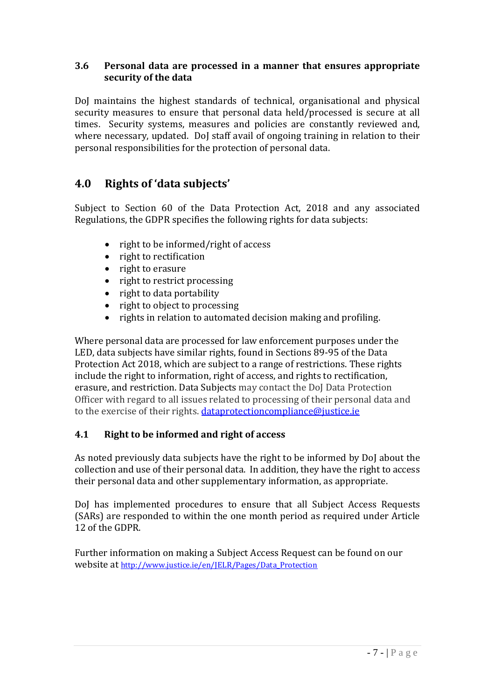## **3.6 Personal data are processed in a manner that ensures appropriate security of the data**

DoJ maintains the highest standards of technical, organisational and physical security measures to ensure that personal data held/processed is secure at all times. Security systems, measures and policies are constantly reviewed and, where necessary, updated. DoJ staff avail of ongoing training in relation to their personal responsibilities for the protection of personal data.

## **4.0 Rights of 'data subjects'**

Subject to Section 60 of the Data Protection Act, 2018 and any associated Regulations, the GDPR specifies the following rights for data subjects:

- right to be informed/right of access
- right to rectification
- right to erasure
- right to restrict processing
- right to data portability
- right to object to processing
- rights in relation to automated decision making and profiling.

Where personal data are processed for law enforcement purposes under the LED, data subjects have similar rights, found in Sections 89-95 of the Data Protection Act 2018, which are subject to a range of restrictions. These rights include the right to information, right of access, and rights to rectification, erasure, and restriction. Data Subjects may contact the DoJ Data Protection Officer with regard to all issues related to processing of their personal data and to the exercise of their rights. [dataprotectioncompliance@justice.ie](mailto:dataprotectioncompliance@justice.ie)

## **4.1 Right to be informed and right of access**

As noted previously data subjects have the right to be informed by DoJ about the collection and use of their personal data. In addition, they have the right to access their personal data and other supplementary information, as appropriate.

DoJ has implemented procedures to ensure that all Subject Access Requests (SARs) are responded to within the one month period as required under Article 12 of the GDPR.

Further information on making a Subject Access Request can be found on our website at [http://www.justice.ie/en/JELR/Pages/Data\\_Protection](http://www.justice.ie/en/JELR/Pages/Data_Protection)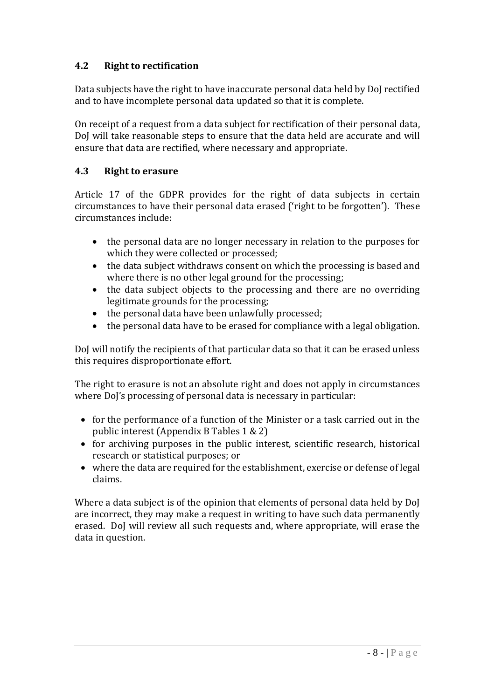## **4.2 Right to rectification**

Data subjects have the right to have inaccurate personal data held by DoJ rectified and to have incomplete personal data updated so that it is complete.

On receipt of a request from a data subject for rectification of their personal data, DoJ will take reasonable steps to ensure that the data held are accurate and will ensure that data are rectified, where necessary and appropriate.

## **4.3 Right to erasure**

Article 17 of the GDPR provides for the right of data subjects in certain circumstances to have their personal data erased ('right to be forgotten'). These circumstances include:

- the personal data are no longer necessary in relation to the purposes for which they were collected or processed;
- the data subject withdraws consent on which the processing is based and where there is no other legal ground for the processing;
- the data subject objects to the processing and there are no overriding legitimate grounds for the processing;
- the personal data have been unlawfully processed;
- the personal data have to be erased for compliance with a legal obligation.

DoJ will notify the recipients of that particular data so that it can be erased unless this requires disproportionate effort.

The right to erasure is not an absolute right and does not apply in circumstances where DoJ's processing of personal data is necessary in particular:

- for the performance of a function of the Minister or a task carried out in the public interest (Appendix B Tables 1 & 2)
- for archiving purposes in the public interest, scientific research, historical research or statistical purposes; or
- where the data are required for the establishment, exercise or defense of legal claims.

Where a data subject is of the opinion that elements of personal data held by DoJ are incorrect, they may make a request in writing to have such data permanently erased. DoJ will review all such requests and, where appropriate, will erase the data in question.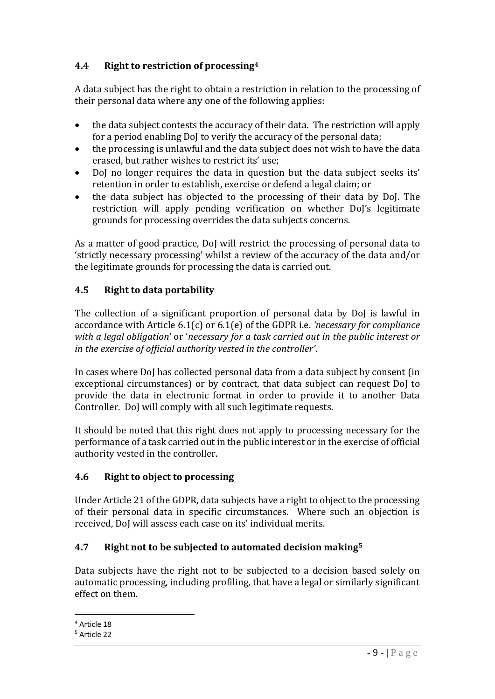## **4.4 Right to restriction of processing<sup>4</sup>**

A data subject has the right to obtain a restriction in relation to the processing of their personal data where any one of the following applies:

- the data subject contests the accuracy of their data. The restriction will apply for a period enabling DoJ to verify the accuracy of the personal data;
- the processing is unlawful and the data subject does not wish to have the data erased, but rather wishes to restrict its' use;
- DoJ no longer requires the data in question but the data subject seeks its' retention in order to establish, exercise or defend a legal claim; or
- the data subject has objected to the processing of their data by DoJ. The restriction will apply pending verification on whether DoJ's legitimate grounds for processing overrides the data subjects concerns.

As a matter of good practice, DoJ will restrict the processing of personal data to 'strictly necessary processing' whilst a review of the accuracy of the data and/or the legitimate grounds for processing the data is carried out.

## **4.5 Right to data portability**

The collection of a significant proportion of personal data by DoJ is lawful in accordance with Article 6.1(c) or 6.1(e) of the GDPR i.e. *'necessary for compliance with a legal obligation*' or '*necessary for a task carried out in the public interest or in the exercise of official authority vested in the controller'*.

In cases where DoJ has collected personal data from a data subject by consent (in exceptional circumstances) or by contract, that data subject can request DoJ to provide the data in electronic format in order to provide it to another Data Controller. DoJ will comply with all such legitimate requests.

It should be noted that this right does not apply to processing necessary for the performance of a task carried out in the public interest or in the exercise of official authority vested in the controller.

## **4.6 Right to object to processing**

Under Article 21 of the GDPR, data subjects have a right to object to the processing of their personal data in specific circumstances. Where such an objection is received, DoJ will assess each case on its' individual merits.

## **4.7 Right not to be subjected to automated decision making<sup>5</sup>**

Data subjects have the right not to be subjected to a decision based solely on automatic processing, including profiling, that have a legal or similarly significant effect on them.

<sup>1</sup> <sup>4</sup> Article 18

<sup>5</sup> Article 22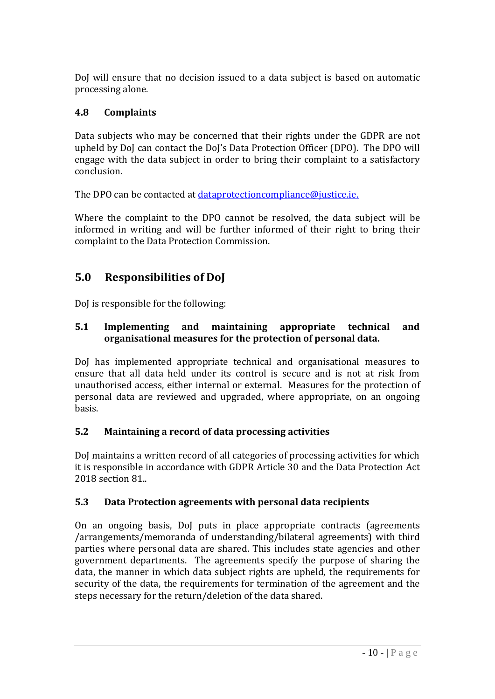DoJ will ensure that no decision issued to a data subject is based on automatic processing alone.

## **4.8 Complaints**

Data subjects who may be concerned that their rights under the GDPR are not upheld by DoJ can contact the DoJ's Data Protection Officer (DPO). The DPO will engage with the data subject in order to bring their complaint to a satisfactory conclusion.

The DPO can be contacted at [dataprotectioncompliance@justice.ie.](mailto:dataprotectioncompliance@justice.ie)

Where the complaint to the DPO cannot be resolved, the data subject will be informed in writing and will be further informed of their right to bring their complaint to the Data Protection Commission.

## **5.0 Responsibilities of DoJ**

DoJ is responsible for the following:

## **5.1 Implementing and maintaining appropriate technical and organisational measures for the protection of personal data.**

DoJ has implemented appropriate technical and organisational measures to ensure that all data held under its control is secure and is not at risk from unauthorised access, either internal or external. Measures for the protection of personal data are reviewed and upgraded, where appropriate, on an ongoing basis.

## **5.2 Maintaining a record of data processing activities**

DoJ maintains a written record of all categories of processing activities for which it is responsible in accordance with GDPR Article 30 and the Data Protection Act 2018 section 81..

## **5.3 Data Protection agreements with personal data recipients**

On an ongoing basis, DoJ puts in place appropriate contracts (agreements /arrangements/memoranda of understanding/bilateral agreements) with third parties where personal data are shared. This includes state agencies and other government departments. The agreements specify the purpose of sharing the data, the manner in which data subject rights are upheld, the requirements for security of the data, the requirements for termination of the agreement and the steps necessary for the return/deletion of the data shared.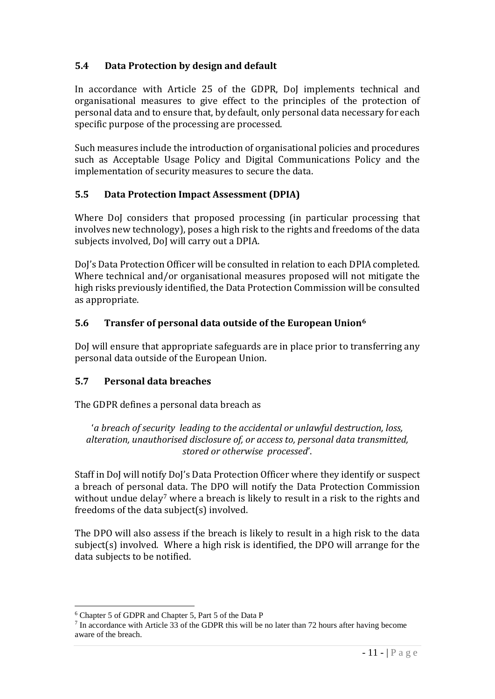## **5.4 Data Protection by design and default**

In accordance with Article 25 of the GDPR, DoJ implements technical and organisational measures to give effect to the principles of the protection of personal data and to ensure that, by default, only personal data necessary for each specific purpose of the processing are processed.

Such measures include the introduction of organisational policies and procedures such as Acceptable Usage Policy and Digital Communications Policy and the implementation of security measures to secure the data.

## **5.5 Data Protection Impact Assessment (DPIA)**

Where DoJ considers that proposed processing (in particular processing that involves new technology), poses a high risk to the rights and freedoms of the data subjects involved, DoJ will carry out a DPIA.

DoJ's Data Protection Officer will be consulted in relation to each DPIA completed. Where technical and/or organisational measures proposed will not mitigate the high risks previously identified, the Data Protection Commission will be consulted as appropriate.

## **5.6 Transfer of personal data outside of the European Union<sup>6</sup>**

DoJ will ensure that appropriate safeguards are in place prior to transferring any personal data outside of the European Union.

## **5.7 Personal data breaches**

The GDPR defines a personal data breach as

'*a breach of security leading to the accidental or unlawful destruction, loss, alteration, unauthorised disclosure of, or access to, personal data transmitted, stored or otherwise processed*'.

Staff in DoJ will notify DoJ's Data Protection Officer where they identify or suspect a breach of personal data. The DPO will notify the Data Protection Commission without undue delay<sup>7</sup> where a breach is likely to result in a risk to the rights and freedoms of the data subject(s) involved.

The DPO will also assess if the breach is likely to result in a high risk to the data subject(s) involved. Where a high risk is identified, the DPO will arrange for the data subjects to be notified.

1

<sup>&</sup>lt;sup>6</sup> Chapter 5 of GDPR and Chapter 5, Part 5 of the Data P

<sup>&</sup>lt;sup>7</sup> In accordance with Article 33 of the GDPR this will be no later than 72 hours after having become aware of the breach.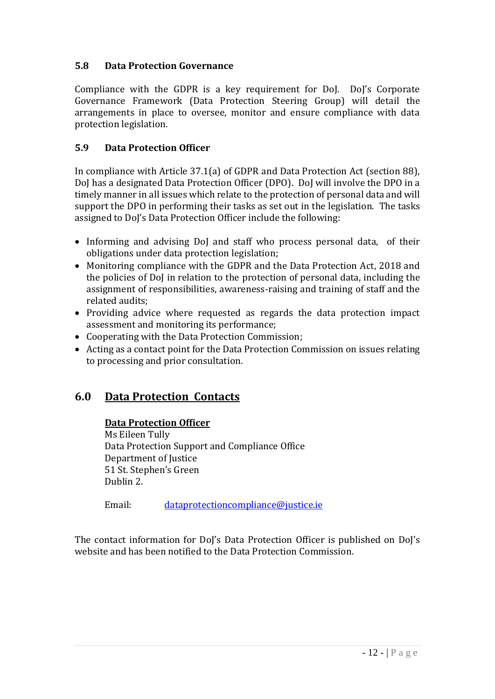## **5.8 Data Protection Governance**

Compliance with the GDPR is a key requirement for DoJ. DoJ's Corporate Governance Framework (Data Protection Steering Group) will detail the arrangements in place to oversee, monitor and ensure compliance with data protection legislation.

## **5.9 Data Protection Officer**

In compliance with Article 37.1(a) of GDPR and Data Protection Act (section 88), DoJ has a designated Data Protection Officer (DPO). DoJ will involve the DPO in a timely manner in all issues which relate to the protection of personal data and will support the DPO in performing their tasks as set out in the legislation. The tasks assigned to DoJ's Data Protection Officer include the following:

- Informing and advising DoJ and staff who process personal data, of their obligations under data protection legislation;
- Monitoring compliance with the GDPR and the Data Protection Act, 2018 and the policies of DoJ in relation to the protection of personal data, including the assignment of responsibilities, awareness-raising and training of staff and the related audits;
- Providing advice where requested as regards the data protection impact assessment and monitoring its performance;
- Cooperating with the Data Protection Commission;
- Acting as a contact point for the Data Protection Commission on issues relating to processing and prior consultation.

## **6.0 Data Protection Contacts**

## **Data Protection Officer**

Ms Eileen Tully Data Protection Support and Compliance Office Department of Justice 51 St. Stephen's Green Dublin 2.

Email: [dataprotectioncompliance@justice.ie](mailto:dataprotectioncompliance@justice.ie)

The contact information for DoJ's Data Protection Officer is published on DoJ's website and has been notified to the Data Protection Commission.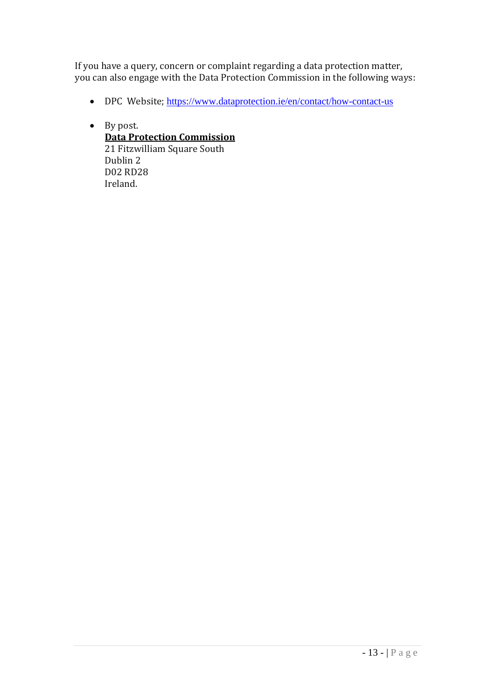If you have a query, concern or complaint regarding a data protection matter, you can also engage with the Data Protection Commission in the following ways:

- DPC Website; <https://www.dataprotection.ie/en/contact/how-contact-us>
- By post. **Data Protection Commission** 21 Fitzwilliam Square South Dublin 2 D02 RD28 Ireland.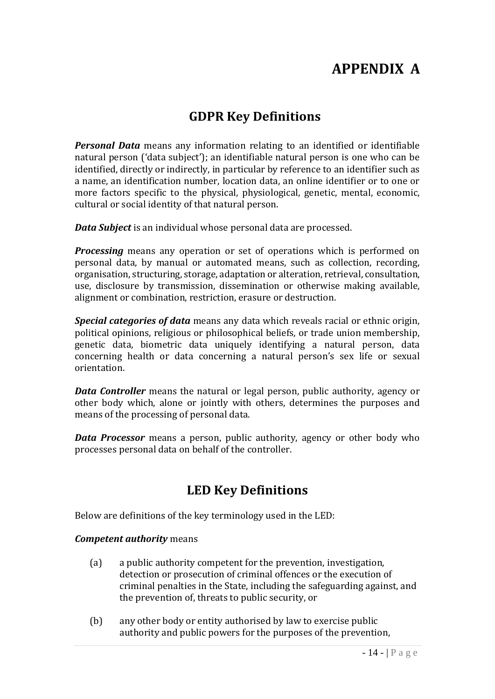# **APPENDIX A**

# **GDPR Key Definitions**

*Personal Data* means any information relating to an identified or identifiable natural person ('data subject'); an identifiable natural person is one who can be identified, directly or indirectly, in particular by reference to an identifier such as a name, an identification number, location data, an online identifier or to one or more factors specific to the physical, physiological, genetic, mental, economic, cultural or social identity of that natural person.

*Data Subject* is an individual whose personal data are processed.

*Processing* means any operation or set of operations which is performed on personal data, by manual or automated means, such as collection, recording, organisation, structuring, storage, adaptation or alteration, retrieval, consultation, use, disclosure by transmission, dissemination or otherwise making available, alignment or combination, restriction, erasure or destruction.

*Special categories of data* means any data which reveals racial or ethnic origin, political opinions, religious or philosophical beliefs, or trade union membership, genetic data, biometric data uniquely identifying a natural person, data concerning health or data concerning a natural person's sex life or sexual orientation.

*Data Controller* means the natural or legal person, public authority, agency or other body which, alone or jointly with others, determines the purposes and means of the processing of personal data.

*Data Processor* means a person, public authority, agency or other body who processes personal data on behalf of the controller.

## **LED Key Definitions**

Below are definitions of the key terminology used in the LED:

#### *Competent authority* means

- (a) a public authority competent for the prevention, investigation, detection or prosecution of criminal offences or the execution of criminal penalties in the State, including the safeguarding against, and the prevention of, threats to public security, or
- (b) any other body or entity authorised by law to exercise public authority and public powers for the purposes of the prevention,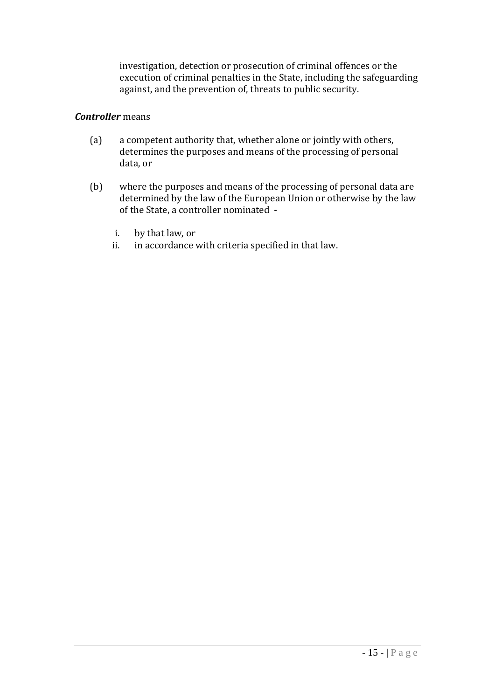investigation, detection or prosecution of criminal offences or the execution of criminal penalties in the State, including the safeguarding against, and the prevention of, threats to public security.

#### *Controller* means

- (a) a competent authority that, whether alone or jointly with others, determines the purposes and means of the processing of personal data, or
- (b) where the purposes and means of the processing of personal data are determined by the law of the European Union or otherwise by the law of the State, a controller nominated
	- i. by that law, or
	- ii. in accordance with criteria specified in that law.